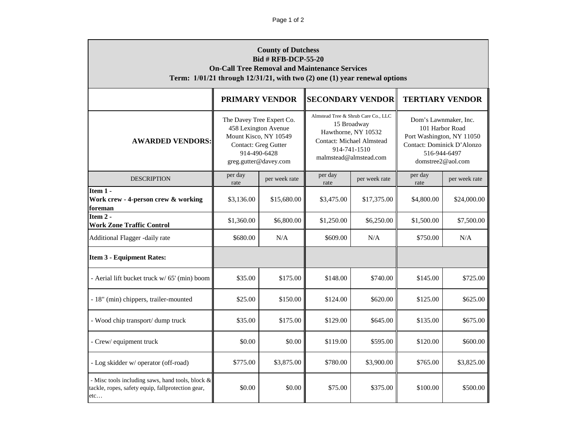| <b>County of Dutchess</b><br><b>Bid # RFB-DCP-55-20</b><br><b>On-Call Tree Removal and Maintenance Services</b><br>Term: 1/01/21 through 12/31/21, with two (2) one (1) year renewal options |                                                                                                                                             |               |                                                                                                                                                         |               |                                                                                                                                          |               |  |  |
|----------------------------------------------------------------------------------------------------------------------------------------------------------------------------------------------|---------------------------------------------------------------------------------------------------------------------------------------------|---------------|---------------------------------------------------------------------------------------------------------------------------------------------------------|---------------|------------------------------------------------------------------------------------------------------------------------------------------|---------------|--|--|
|                                                                                                                                                                                              | <b>PRIMARY VENDOR</b>                                                                                                                       |               | <b>SECONDARY VENDOR</b>                                                                                                                                 |               | <b>TERTIARY VENDOR</b>                                                                                                                   |               |  |  |
| <b>AWARDED VENDORS:</b>                                                                                                                                                                      | The Davey Tree Expert Co.<br>458 Lexington Avenue<br>Mount Kisco, NY 10549<br>Contact: Greg Gutter<br>914-490-6428<br>greg.gutter@davey.com |               | Almstead Tree & Shrub Care Co., LLC<br>15 Broadway<br>Hawthorne, NY 10532<br><b>Contact: Michael Almstead</b><br>914-741-1510<br>malmstead@almstead.com |               | Dom's Lawnmaker, Inc.<br>101 Harbor Road<br>Port Washington, NY 11050<br>Contact: Dominick D'Alonzo<br>516-944-6497<br>domstree2@aol.com |               |  |  |
| <b>DESCRIPTION</b>                                                                                                                                                                           | per day<br>rate                                                                                                                             | per week rate | per day<br>rate                                                                                                                                         | per week rate | per day<br>rate                                                                                                                          | per week rate |  |  |
| Item 1 -<br>Work crew - 4-person crew & working<br>foreman                                                                                                                                   | \$3,136.00                                                                                                                                  | \$15,680.00   | \$3,475.00                                                                                                                                              | \$17,375.00   | \$4,800.00                                                                                                                               | \$24,000.00   |  |  |
| Item 2 -<br><b>Work Zone Traffic Control</b>                                                                                                                                                 | \$1,360.00                                                                                                                                  | \$6,800.00    | \$1,250.00                                                                                                                                              | \$6,250.00    | \$1,500.00                                                                                                                               | \$7,500.00    |  |  |
| Additional Flagger -daily rate                                                                                                                                                               | \$680.00                                                                                                                                    | N/A           | \$609.00                                                                                                                                                | N/A           | \$750.00                                                                                                                                 | N/A           |  |  |
| <b>Item 3 - Equipment Rates:</b>                                                                                                                                                             |                                                                                                                                             |               |                                                                                                                                                         |               |                                                                                                                                          |               |  |  |
| - Aerial lift bucket truck w/ 65' (min) boom                                                                                                                                                 | \$35.00                                                                                                                                     | \$175.00      | \$148.00                                                                                                                                                | \$740.00      | \$145.00                                                                                                                                 | \$725.00      |  |  |
| - 18" (min) chippers, trailer-mounted                                                                                                                                                        | \$25.00                                                                                                                                     | \$150.00      | \$124.00                                                                                                                                                | \$620.00      | \$125.00                                                                                                                                 | \$625.00      |  |  |
| - Wood chip transport/ dump truck                                                                                                                                                            | \$35.00                                                                                                                                     | \$175.00      | \$129.00                                                                                                                                                | \$645.00      | \$135.00                                                                                                                                 | \$675.00      |  |  |
| - Crew/ equipment truck                                                                                                                                                                      | \$0.00                                                                                                                                      | \$0.00        | \$119.00                                                                                                                                                | \$595.00      | \$120.00                                                                                                                                 | \$600.00      |  |  |
| - Log skidder w/ operator (off-road)                                                                                                                                                         | \$775.00                                                                                                                                    | \$3,875.00    | \$780.00                                                                                                                                                | \$3,900.00    | \$765.00                                                                                                                                 | \$3,825.00    |  |  |
| - Misc tools including saws, hand tools, block &<br>tackle, ropes, safety equip, fallprotection gear,<br>etc                                                                                 | \$0.00                                                                                                                                      | \$0.00        | \$75.00                                                                                                                                                 | \$375.00      | \$100.00                                                                                                                                 | \$500.00      |  |  |